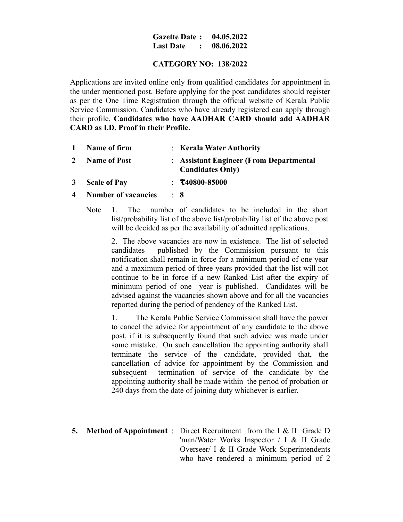### **Gazette Date : 04.05.2022 Last Date : 08.06.2022**

# **CATEGORY NO: 138/2022**

Applications are invited online only from qualified candidates for appointment in the under mentioned post. Before applying for the post candidates should register as per the One Time Registration through the official website of Kerala Public Service Commission. Candidates who have already registered can apply through their profile. **Candidates who have AADHAR CARD should add AADHAR CARD as I.D. Proof in their Profile.**

- **1 Name of firm** : **Kerala Water Authority 2 Name of Post** : **Assistant Engineer (From Departmental Candidates Only) 3 Scale of Pay** : **₹40800-85000**
- **4 Number of vacancies** : **8**
	- Note 1. The number of candidates to be included in the short list/probability list of the above list/probability list of the above post will be decided as per the availability of admitted applications.

2. The above vacancies are now in existence. The list of selected candidates published by the Commission pursuant to this notification shall remain in force for a minimum period of one year and a maximum period of three years provided that the list will not continue to be in force if a new Ranked List after the expiry of minimum period of one year is published. Candidates will be advised against the vacancies shown above and for all the vacancies reported during the period of pendency of the Ranked List.

1. The Kerala Public Service Commission shall have the power to cancel the advice for appointment of any candidate to the above post, if it is subsequently found that such advice was made under some mistake. On such cancellation the appointing authority shall terminate the service of the candidate, provided that, the cancellation of advice for appointment by the Commission and subsequent termination of service of the candidate by the appointing authority shall be made within the period of probation or 240 days from the date of joining duty whichever is earlier.

**5. Method of Appointment** : Direct Recruitment from the I & II Grade D 'man/Water Works Inspector / I & II Grade Overseer/ I & II Grade Work Superintendents who have rendered a minimum period of 2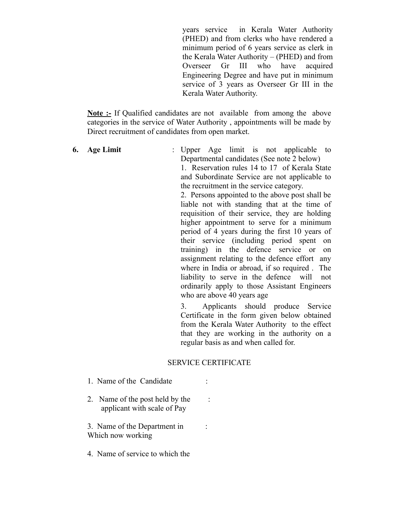years service in Kerala Water Authority (PHED) and from clerks who have rendered a minimum period of 6 years service as clerk in the Kerala Water Authority – (PHED) and from Overseer Gr III who have acquired Engineering Degree and have put in minimum service of 3 years as Overseer Gr III in the Kerala Water Authority.

**Note :-** If Qualified candidates are not available from among the above categories in the service of Water Authority , appointments will be made by Direct recruitment of candidates from open market.

**6. Age Limit** : Upper Age limit is not applicable to Departmental candidates (See note 2 below)

1. Reservation rules 14 to 17 of Kerala State and Subordinate Service are not applicable to the recruitment in the service category.

2. Persons appointed to the above post shall be liable not with standing that at the time of requisition of their service, they are holding higher appointment to serve for a minimum period of 4 years during the first 10 years of their service (including period spent on training) in the defence service or on assignment relating to the defence effort any where in India or abroad, if so required . The liability to serve in the defence will not ordinarily apply to those Assistant Engineers who are above 40 years age

3. Applicants should produce Service Certificate in the form given below obtained from the Kerala Water Authority to the effect that they are working in the authority on a regular basis as and when called for.

### SERVICE CERTIFICATE

- 1. Name of the Candidate :
- 2. Name of the post held by the : applicant with scale of Pay

3. Name of the Department in : Which now working

4. Name of service to which the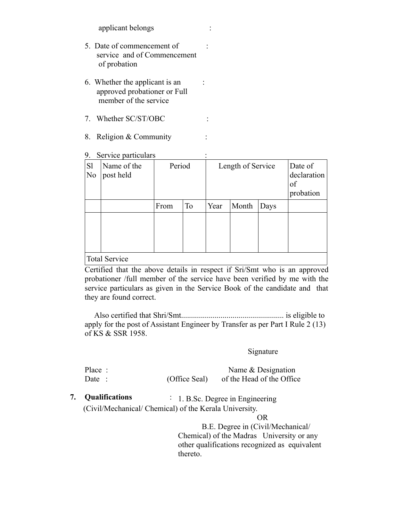applicant belongs :

- 5. Date of commencement of : service and of Commencement of probation
- 6. Whether the applicant is an : approved probationer or Full member of the service
- 7. Whether SC/ST/OBC :
- 8. Religion & Community :
- 9. Service particulars :

| S <sub>1</sub><br>N <sub>0</sub> | Name of the<br>post held | Period |           | Length of Service |       |      | Date of<br>declaration<br>of<br>probation |  |
|----------------------------------|--------------------------|--------|-----------|-------------------|-------|------|-------------------------------------------|--|
|                                  |                          | From   | <b>To</b> | Year              | Month | Days |                                           |  |
|                                  |                          |        |           |                   |       |      |                                           |  |
|                                  |                          |        |           |                   |       |      |                                           |  |
|                                  |                          |        |           |                   |       |      |                                           |  |
| <b>Total Service</b>             |                          |        |           |                   |       |      |                                           |  |

Certified that the above details in respect if Sri/Smt who is an approved probationer /full member of the service have been verified by me with the service particulars as given in the Service Book of the candidate and that they are found correct.

 Also certified that Shri/Smt.................................................... is eligible to apply for the post of Assistant Engineer by Transfer as per Part I Rule 2 (13) of KS & SSR 1958.

# Signature

| Place: |               | Name $&$ Designation      |
|--------|---------------|---------------------------|
| Date:  | (Office Seal) | of the Head of the Office |

**7. Qualifications** : 1. B.Sc. Degree in Engineering (Civil/Mechanical/ Chemical) of the Kerala University.

### OR

 B.E. Degree in (Civil/Mechanical/ Chemical) of the Madras University or any other qualifications recognized as equivalent thereto.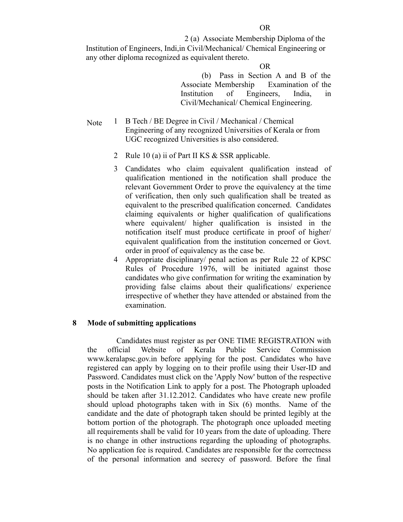2 (a) Associate Membership Diploma of the Institution of Engineers, Indi,in Civil/Mechanical/ Chemical Engineering or any other diploma recognized as equivalent thereto.

#### **OR** OR

 (b) Pass in Section A and B of the Associate Membership Examination of the Institution of Engineers, India, in Civil/Mechanical/ Chemical Engineering.

- Note 1 B Tech / BE Degree in Civil / Mechanical / Chemical Engineering of any recognized Universities of Kerala or from UGC recognized Universities is also considered.
	- 2 Rule 10 (a) ii of Part II KS & SSR applicable.
	- 3 Candidates who claim equivalent qualification instead of qualification mentioned in the notification shall produce the relevant Government Order to prove the equivalency at the time of verification, then only such qualification shall be treated as equivalent to the prescribed qualification concerned. Candidates claiming equivalents or higher qualification of qualifications where equivalent/ higher qualification is insisted in the notification itself must produce certificate in proof of higher/ equivalent qualification from the institution concerned or Govt. order in proof of equivalency as the case be.
	- 4 Appropriate disciplinary/ penal action as per Rule 22 of KPSC Rules of Procedure 1976, will be initiated against those candidates who give confirmation for writing the examination by providing false claims about their qualifications/ experience irrespective of whether they have attended or abstained from the examination.

### **8 Mode of submitting applications**

 Candidates must register as per ONE TIME REGISTRATION with the official Website of Kerala Public Service Commission www.keralapsc.gov.in before applying for the post. Candidates who have registered can apply by logging on to their profile using their User-ID and Password. Candidates must click on the 'Apply Now' button of the respective posts in the Notification Link to apply for a post. The Photograph uploaded should be taken after 31.12.2012. Candidates who have create new profile should upload photographs taken with in Six (6) months. Name of the candidate and the date of photograph taken should be printed legibly at the bottom portion of the photograph. The photograph once uploaded meeting all requirements shall be valid for 10 years from the date of uploading. There is no change in other instructions regarding the uploading of photographs. No application fee is required. Candidates are responsible for the correctness of the personal information and secrecy of password. Before the final